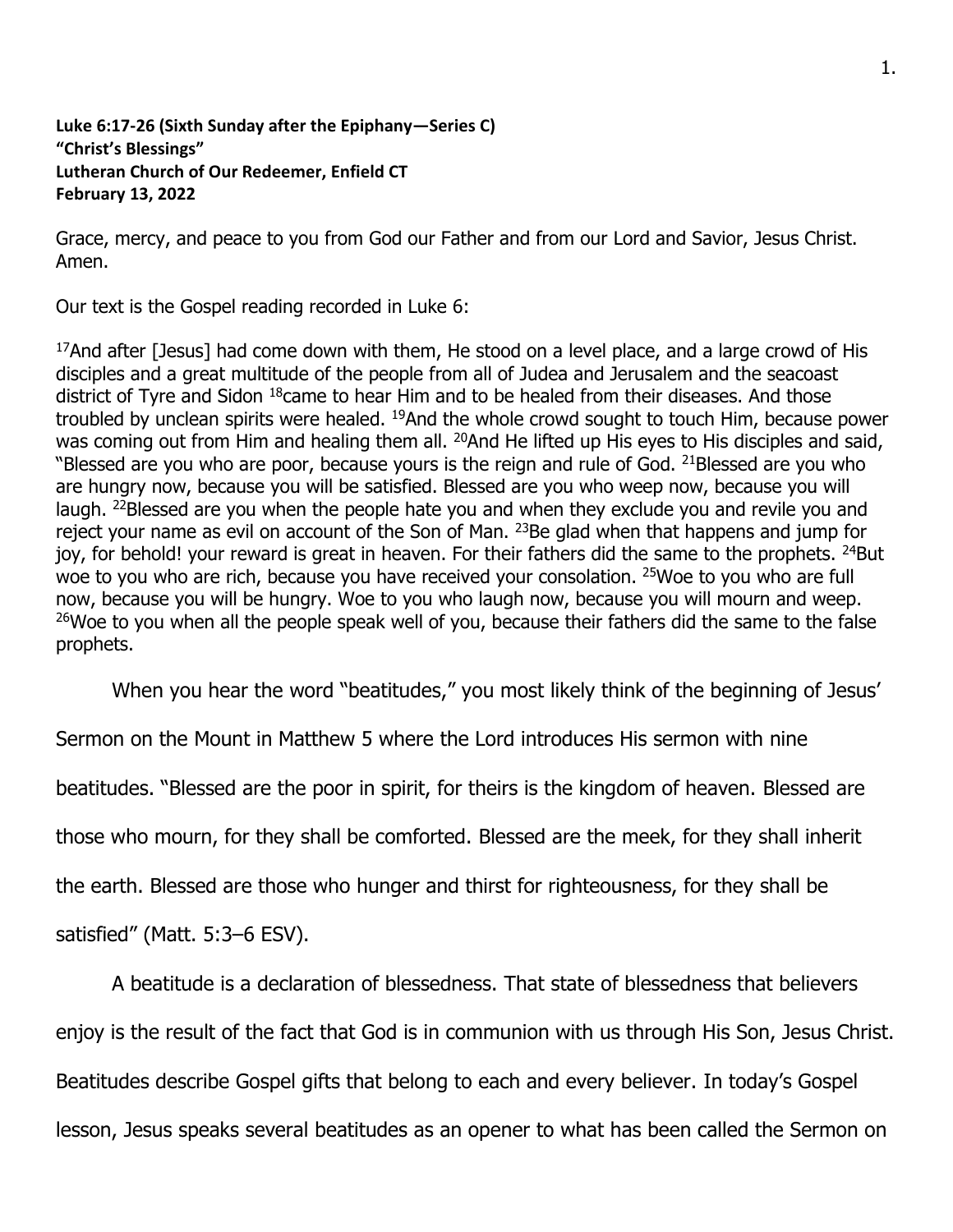## **Luke 6:17-26 (Sixth Sunday after the Epiphany—Series C) "Christ's Blessings" Lutheran Church of Our Redeemer, Enfield CT February 13, 2022**

Grace, mercy, and peace to you from God our Father and from our Lord and Savior, Jesus Christ. Amen.

Our text is the Gospel reading recorded in Luke 6:

 $17$ And after [Jesus] had come down with them, He stood on a level place, and a large crowd of His disciples and a great multitude of the people from all of Judea and Jerusalem and the seacoast district of Tyre and Sidon <sup>18</sup>came to hear Him and to be healed from their diseases. And those troubled by unclean spirits were healed. <sup>19</sup>And the whole crowd sought to touch Him, because power was coming out from Him and healing them all. <sup>20</sup>And He lifted up His eyes to His disciples and said, "Blessed are you who are poor, because yours is the reign and rule of God. <sup>21</sup>Blessed are you who are hungry now, because you will be satisfied. Blessed are you who weep now, because you will laugh. <sup>22</sup>Blessed are you when the people hate you and when they exclude you and revile you and reject your name as evil on account of the Son of Man. <sup>23</sup>Be glad when that happens and jump for joy, for behold! your reward is great in heaven. For their fathers did the same to the prophets. <sup>24</sup>But woe to you who are rich, because you have received your consolation. <sup>25</sup>Woe to you who are full now, because you will be hungry. Woe to you who laugh now, because you will mourn and weep. <sup>26</sup>Woe to you when all the people speak well of you, because their fathers did the same to the false prophets.

When you hear the word "beatitudes," you most likely think of the beginning of Jesus'

Sermon on the Mount in Matthew 5 where the Lord introduces His sermon with nine

beatitudes. "Blessed are the poor in spirit, for theirs is the kingdom of heaven. Blessed are

those who mourn, for they shall be comforted. Blessed are the meek, for they shall inherit

the earth. Blessed are those who hunger and thirst for righteousness, for they shall be

satisfied" (Matt. 5:3–6 ESV).

A beatitude is a declaration of blessedness. That state of blessedness that believers enjoy is the result of the fact that God is in communion with us through His Son, Jesus Christ. Beatitudes describe Gospel gifts that belong to each and every believer. In today's Gospel lesson, Jesus speaks several beatitudes as an opener to what has been called the Sermon on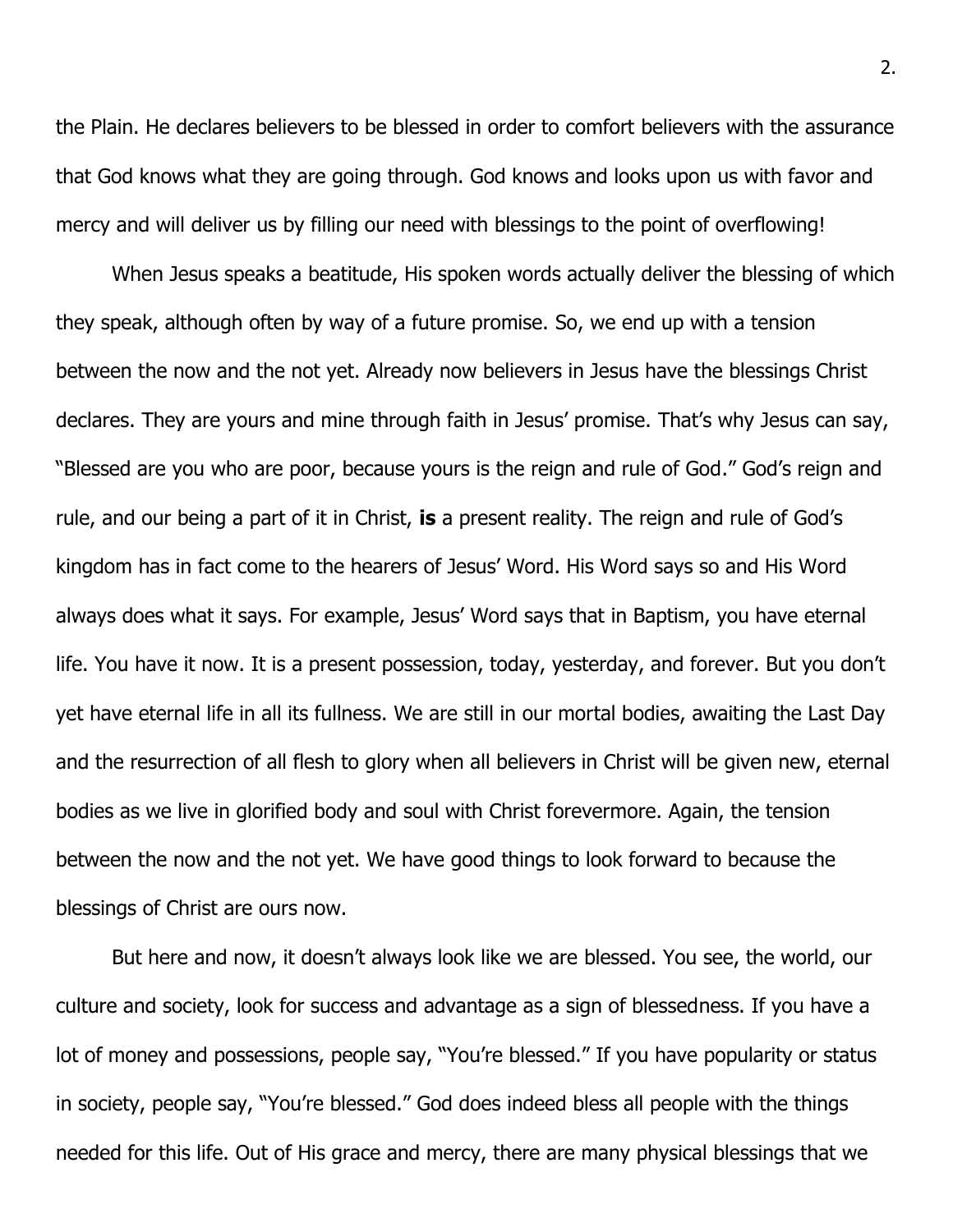the Plain. He declares believers to be blessed in order to comfort believers with the assurance that God knows what they are going through. God knows and looks upon us with favor and mercy and will deliver us by filling our need with blessings to the point of overflowing!

When Jesus speaks a beatitude, His spoken words actually deliver the blessing of which they speak, although often by way of a future promise. So, we end up with a tension between the now and the not yet. Already now believers in Jesus have the blessings Christ declares. They are yours and mine through faith in Jesus' promise. That's why Jesus can say, "Blessed are you who are poor, because yours is the reign and rule of God." God's reign and rule, and our being a part of it in Christ, **is** a present reality. The reign and rule of God's kingdom has in fact come to the hearers of Jesus' Word. His Word says so and His Word always does what it says. For example, Jesus' Word says that in Baptism, you have eternal life. You have it now. It is a present possession, today, yesterday, and forever. But you don't yet have eternal life in all its fullness. We are still in our mortal bodies, awaiting the Last Day and the resurrection of all flesh to glory when all believers in Christ will be given new, eternal bodies as we live in glorified body and soul with Christ forevermore. Again, the tension between the now and the not yet. We have good things to look forward to because the blessings of Christ are ours now.

But here and now, it doesn't always look like we are blessed. You see, the world, our culture and society, look for success and advantage as a sign of blessedness. If you have a lot of money and possessions, people say, "You're blessed." If you have popularity or status in society, people say, "You're blessed." God does indeed bless all people with the things needed for this life. Out of His grace and mercy, there are many physical blessings that we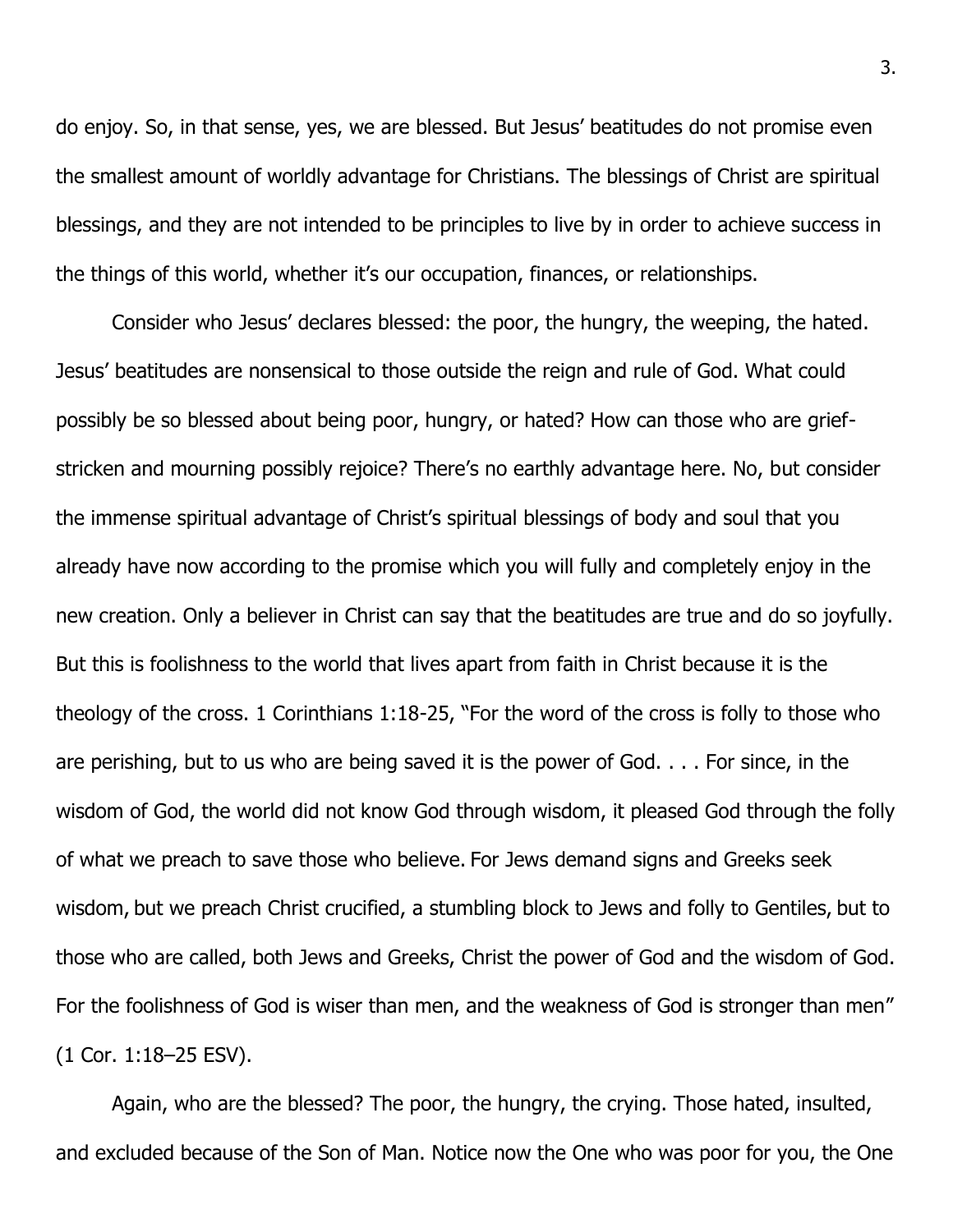do enjoy. So, in that sense, yes, we are blessed. But Jesus' beatitudes do not promise even the smallest amount of worldly advantage for Christians. The blessings of Christ are spiritual blessings, and they are not intended to be principles to live by in order to achieve success in the things of this world, whether it's our occupation, finances, or relationships.

Consider who Jesus' declares blessed: the poor, the hungry, the weeping, the hated. Jesus' beatitudes are nonsensical to those outside the reign and rule of God. What could possibly be so blessed about being poor, hungry, or hated? How can those who are griefstricken and mourning possibly rejoice? There's no earthly advantage here. No, but consider the immense spiritual advantage of Christ's spiritual blessings of body and soul that you already have now according to the promise which you will fully and completely enjoy in the new creation. Only a believer in Christ can say that the beatitudes are true and do so joyfully. But this is foolishness to the world that lives apart from faith in Christ because it is the theology of the cross. 1 Corinthians 1:18-25, "For the word of the cross is folly to those who are perishing, but to us who are being saved it is the power of God. . . . For since, in the wisdom of God, the world did not know God through wisdom, it pleased God through the folly of what we preach to save those who believe. For Jews demand signs and Greeks seek wisdom, but we preach Christ crucified, a stumbling block to Jews and folly to Gentiles, but to those who are called, both Jews and Greeks, Christ the power of God and the wisdom of God. For the foolishness of God is wiser than men, and the weakness of God is stronger than men" (1 Cor. 1:18–25 ESV).

Again, who are the blessed? The poor, the hungry, the crying. Those hated, insulted, and excluded because of the Son of Man. Notice now the One who was poor for you, the One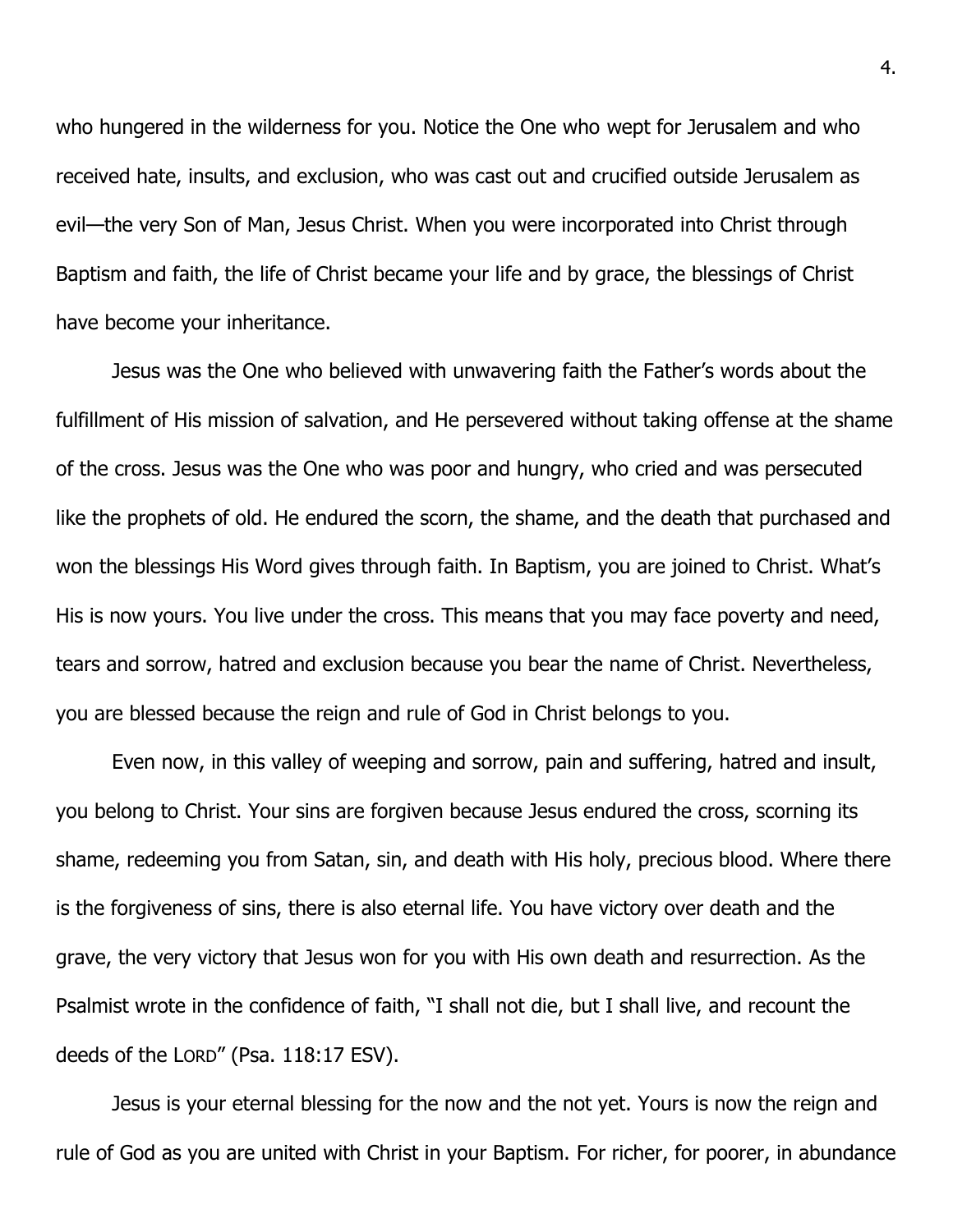who hungered in the wilderness for you. Notice the One who wept for Jerusalem and who received hate, insults, and exclusion, who was cast out and crucified outside Jerusalem as evil—the very Son of Man, Jesus Christ. When you were incorporated into Christ through Baptism and faith, the life of Christ became your life and by grace, the blessings of Christ have become your inheritance.

Jesus was the One who believed with unwavering faith the Father's words about the fulfillment of His mission of salvation, and He persevered without taking offense at the shame of the cross. Jesus was the One who was poor and hungry, who cried and was persecuted like the prophets of old. He endured the scorn, the shame, and the death that purchased and won the blessings His Word gives through faith. In Baptism, you are joined to Christ. What's His is now yours. You live under the cross. This means that you may face poverty and need, tears and sorrow, hatred and exclusion because you bear the name of Christ. Nevertheless, you are blessed because the reign and rule of God in Christ belongs to you.

Even now, in this valley of weeping and sorrow, pain and suffering, hatred and insult, you belong to Christ. Your sins are forgiven because Jesus endured the cross, scorning its shame, redeeming you from Satan, sin, and death with His holy, precious blood. Where there is the forgiveness of sins, there is also eternal life. You have victory over death and the grave, the very victory that Jesus won for you with His own death and resurrection. As the Psalmist wrote in the confidence of faith, "I shall not die, but I shall live, and recount the deeds of the LORD" (Psa. 118:17 ESV).

Jesus is your eternal blessing for the now and the not yet. Yours is now the reign and rule of God as you are united with Christ in your Baptism. For richer, for poorer, in abundance